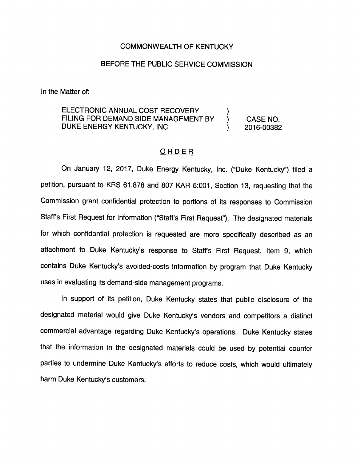## COMMONWEALTH OF KENTUCKY

## BEFORE THE PUBLIC SERVICE COMMISSION

In the Matter of:

ELECTRONIC ANNUAL COST RECOVERY FILING FOR DEMAND SIDE MANAGEMENT BY ) CASE NO. DUKE ENERGY KENTUCKY, INC. (2016-00382)

## ORDER

On January 12, 2017, Duke Energy Kentucky, Inc. ("Duke Kentucky") filed a petition, pursuant to KRS 61.878 and 807 KAR 5:001, Section 13, requesting that the Commission grant confidential protection to portions of its responses to Commission Staff's First Request for Information ("Staff's First Request"). The designated materials for which confidential protection is requested are more specifically described as an attachment to Duke Kentucky's response to Staffs First Request, Item 9, which contains Duke Kentucky's avoided-costs information by program that Duke Kentucky uses in evaluating its demand-side management programs.

In support of its petition. Duke Kentucky states that public disclosure of the designated material would give Duke Kentucky's vendors and competitors a distinct commercial advantage regarding Duke Kentucky's operations. Duke Kentucky states that the information in the designated materials could be used by potential counter parties to undermine Duke Kentucky's efforts to reduce costs, which would ultimately harm Duke Kentucky's customers.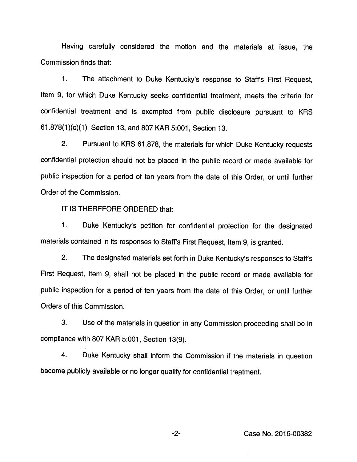Having carefully considered the motion and the materials at issue, the Commission finds that:

1. The attachment to Duke Kentucky's response to Staff's First Request, Item 9, for which Duke Kentucky seeks confidential treatment, meets the criteria for confidential treatment and is exempted from public disclosure pursuant to KRS 61.878(1 )(c)(1) Section 13, and 807 KAR 5:001, Section 13.

2. Pursuant to KRS 61.878, the materials for which Duke Kentucky requests confidential protection should not be placed in the public record or made available for public inspection for a period of ten years from the date of this Order, or until further Order of the Commission.

IT IS THEREFORE ORDERED that:

1. Duke Kentucky's petition for confidential protection for the designated materials contained in its responses to Staff's First Request, Item 9, is granted.

2. The designated materials set forth in Duke Kentucky's responses to Staff's First Request, Item 9, shall not be placed in the public record or made available for public inspection for a period of ten years from the date of this Order, or until further Orders of this Commission.

3. Use of the materials in question in any Commission proceeding shall be in compliance with 807 KAR 5:001, Section 13(9).

4. Duke Kentucky shall inform the Commission if the materials in question become publicly available or no longer qualify for confidential treatment.

-2- Case No. 2016-00382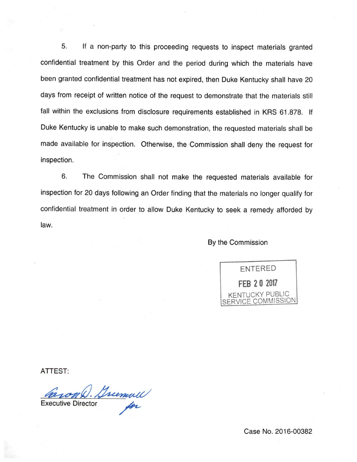5. If a non-party to this proceeding requests to inspect materials granted confidential treatment by this Order and the period during which the materials have been granted confidential treatment has not expired, then Duke Kentucky shall have 20 days from receipt of written notice of the request to demonstrate that the materials still fall within the exclusions from disclosure requirements established in KRS 61.878. If Duke Kentucky is unable to make such demonstration, the requested materials shall be made available for inspection. Otherwise, the Commission shall deny the request for inspection.

6. The Commission shall not make the requested materials available for inspection for 20 days following an Order finding that the materials no longer qualify for confidential treatment in order to allow Duke Kentucky to seek a remedy afforded by law.

By the Commission



ATTEST:

Caron D. Sumull

Case No. 2016-00382